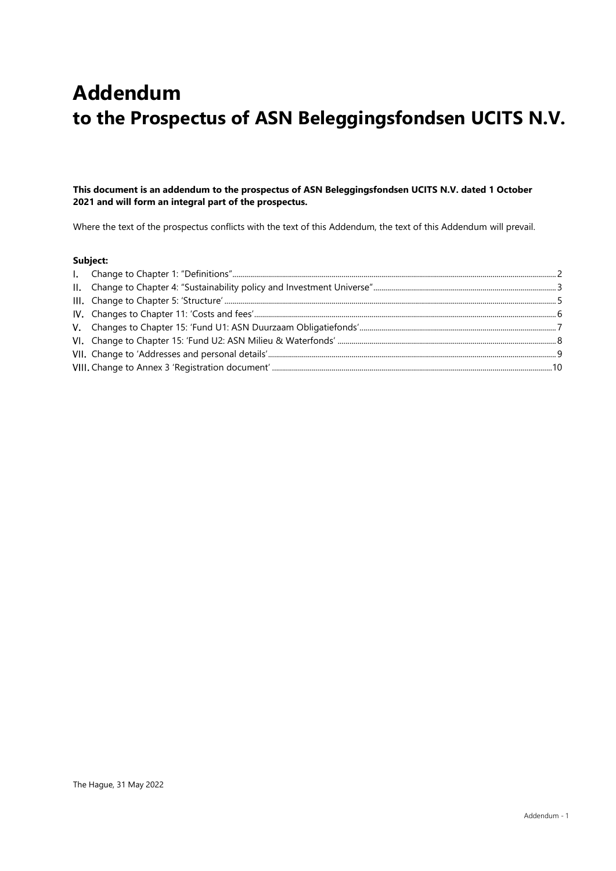# **Addendum to the Prospectus of ASN Beleggingsfondsen UCITS N.V.**

## **This document is an addendum to the prospectus of ASN Beleggingsfondsen UCITS N.V. dated 1 October 2021 and will form an integral part of the prospectus.**

Where the text of the prospectus conflicts with the text of this Addendum, the text of this Addendum will prevail.

#### **Subject:**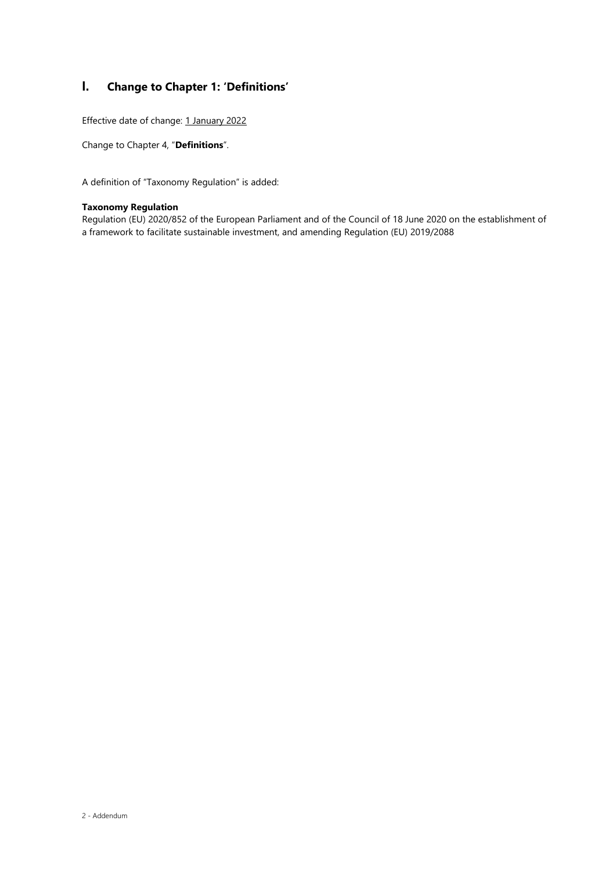# **I. Change to Chapter 1: 'Definitions'**

Effective date of change: 1 January 2022

Change to Chapter 4, "**Definitions**".

A definition of "Taxonomy Regulation" is added:

#### **Taxonomy Regulation**

Regulation (EU) 2020/852 of the European Parliament and of the Council of 18 June 2020 on the establishment of a framework to facilitate sustainable investment, and amending Regulation (EU) 2019/2088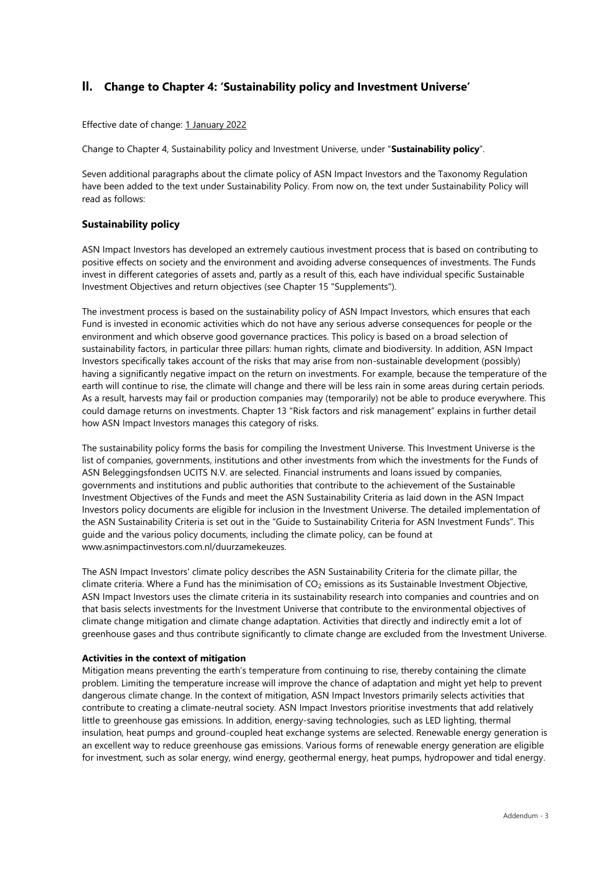## **II. Change to Chapter 4: 'Sustainability policy and Investment Universe'**

Effective date of change: 1 January 2022

Change to Chapter 4, Sustainability policy and Investment Universe, under "**Sustainability policy**".

Seven additional paragraphs about the climate policy of ASN Impact Investors and the Taxonomy Regulation have been added to the text under Sustainability Policy. From now on, the text under Sustainability Policy will read as follows:

## **Sustainability policy**

ASN Impact Investors has developed an extremely cautious investment process that is based on contributing to positive effects on society and the environment and avoiding adverse consequences of investments. The Funds invest in different categories of assets and, partly as a result of this, each have individual specific Sustainable Investment Objectives and return objectives (see Chapter 15 "Supplements").

The investment process is based on the sustainability policy of ASN Impact Investors, which ensures that each Fund is invested in economic activities which do not have any serious adverse consequences for people or the environment and which observe good governance practices. This policy is based on a broad selection of sustainability factors, in particular three pillars: human rights, climate and biodiversity. In addition, ASN Impact Investors specifically takes account of the risks that may arise from non-sustainable development (possibly) having a significantly negative impact on the return on investments. For example, because the temperature of the earth will continue to rise, the climate will change and there will be less rain in some areas during certain periods. As a result, harvests may fail or production companies may (temporarily) not be able to produce everywhere. This could damage returns on investments. Chapter 13 "Risk factors and risk management" explains in further detail how ASN Impact Investors manages this category of risks.

The sustainability policy forms the basis for compiling the Investment Universe. This Investment Universe is the list of companies, governments, institutions and other investments from which the investments for the Funds of ASN Beleggingsfondsen UCITS N.V. are selected. Financial instruments and loans issued by companies, governments and institutions and public authorities that contribute to the achievement of the Sustainable Investment Objectives of the Funds and meet the ASN Sustainability Criteria as laid down in the ASN Impact Investors policy documents are eligible for inclusion in the Investment Universe. The detailed implementation of the ASN Sustainability Criteria is set out in the "Guide to Sustainability Criteria for ASN Investment Funds". This guide and the various policy documents, including the climate policy, can be found at www.asnimpactinvestors.com.nl/duurzamekeuzes.

The ASN Impact Investors' climate policy describes the ASN Sustainability Criteria for the climate pillar, the climate criteria. Where a Fund has the minimisation of  $CO<sub>2</sub>$  emissions as its Sustainable Investment Objective, ASN Impact Investors uses the climate criteria in its sustainability research into companies and countries and on that basis selects investments for the Investment Universe that contribute to the environmental objectives of climate change mitigation and climate change adaptation. Activities that directly and indirectly emit a lot of greenhouse gases and thus contribute significantly to climate change are excluded from the Investment Universe.

#### **Activities in the context of mitigation**

Mitigation means preventing the earth's temperature from continuing to rise, thereby containing the climate problem. Limiting the temperature increase will improve the chance of adaptation and might yet help to prevent dangerous climate change. In the context of mitigation, ASN Impact Investors primarily selects activities that contribute to creating a climate-neutral society. ASN Impact Investors prioritise investments that add relatively little to greenhouse gas emissions. In addition, energy-saving technologies, such as LED lighting, thermal insulation, heat pumps and ground-coupled heat exchange systems are selected. Renewable energy generation is an excellent way to reduce greenhouse gas emissions. Various forms of renewable energy generation are eligible for investment, such as solar energy, wind energy, geothermal energy, heat pumps, hydropower and tidal energy.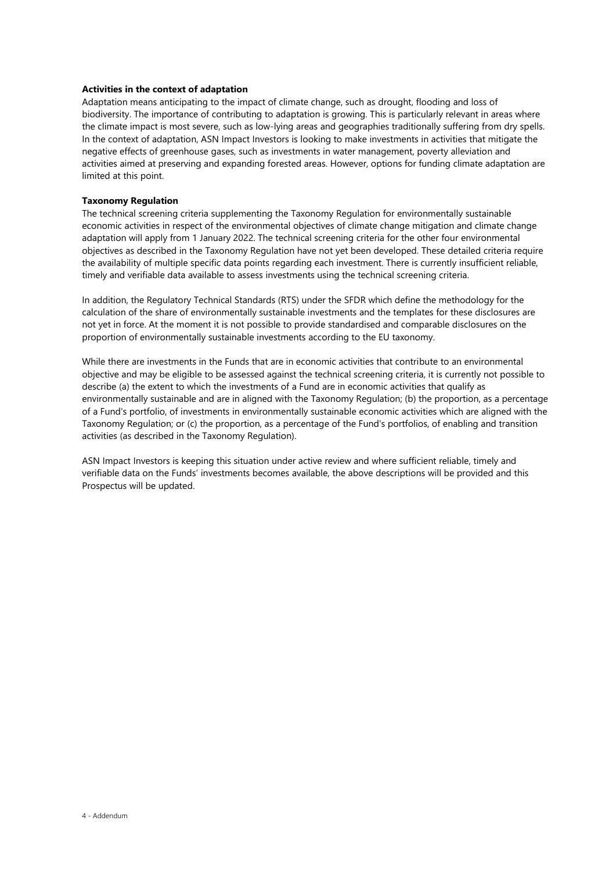#### **Activities in the context of adaptation**

Adaptation means anticipating to the impact of climate change, such as drought, flooding and loss of biodiversity. The importance of contributing to adaptation is growing. This is particularly relevant in areas where the climate impact is most severe, such as low-lying areas and geographies traditionally suffering from dry spells. In the context of adaptation, ASN Impact Investors is looking to make investments in activities that mitigate the negative effects of greenhouse gases, such as investments in water management, poverty alleviation and activities aimed at preserving and expanding forested areas. However, options for funding climate adaptation are limited at this point.

#### **Taxonomy Regulation**

The technical screening criteria supplementing the Taxonomy Regulation for environmentally sustainable economic activities in respect of the environmental objectives of climate change mitigation and climate change adaptation will apply from 1 January 2022. The technical screening criteria for the other four environmental objectives as described in the Taxonomy Regulation have not yet been developed. These detailed criteria require the availability of multiple specific data points regarding each investment. There is currently insufficient reliable, timely and verifiable data available to assess investments using the technical screening criteria.

In addition, the Regulatory Technical Standards (RTS) under the SFDR which define the methodology for the calculation of the share of environmentally sustainable investments and the templates for these disclosures are not yet in force. At the moment it is not possible to provide standardised and comparable disclosures on the proportion of environmentally sustainable investments according to the EU taxonomy.

While there are investments in the Funds that are in economic activities that contribute to an environmental objective and may be eligible to be assessed against the technical screening criteria, it is currently not possible to describe (a) the extent to which the investments of a Fund are in economic activities that qualify as environmentally sustainable and are in aligned with the Taxonomy Regulation; (b) the proportion, as a percentage of a Fund's portfolio, of investments in environmentally sustainable economic activities which are aligned with the Taxonomy Regulation; or (c) the proportion, as a percentage of the Fund's portfolios, of enabling and transition activities (as described in the Taxonomy Regulation).

ASN Impact Investors is keeping this situation under active review and where sufficient reliable, timely and verifiable data on the Funds' investments becomes available, the above descriptions will be provided and this Prospectus will be updated.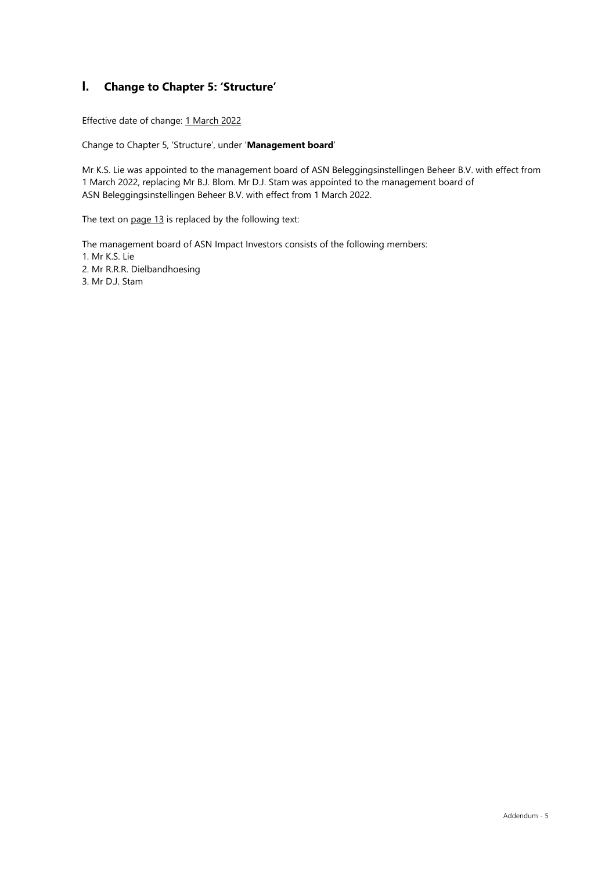# **I. Change to Chapter 5: 'Structure'**

Effective date of change: 1 March 2022

Change to Chapter 5, 'Structure', under '**Management board**'

Mr K.S. Lie was appointed to the management board of ASN Beleggingsinstellingen Beheer B.V. with effect from 1 March 2022, replacing Mr B.J. Blom. Mr D.J. Stam was appointed to the management board of ASN Beleggingsinstellingen Beheer B.V. with effect from 1 March 2022.

The text on page 13 is replaced by the following text:

The management board of ASN Impact Investors consists of the following members:

- 1. Mr K.S. Lie
- 2. Mr R.R.R. Dielbandhoesing
- 3. Mr D.J. Stam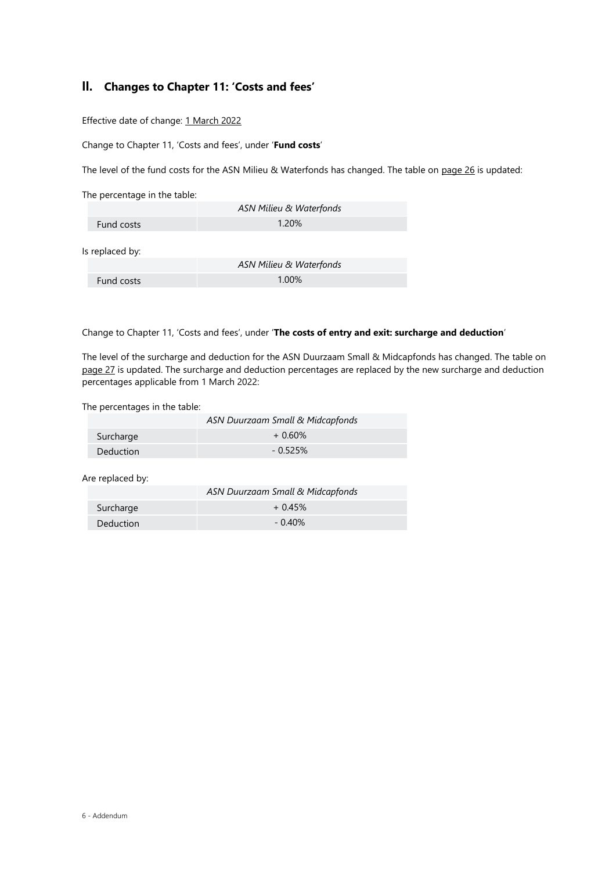# **II. Changes to Chapter 11: 'Costs and fees'**

Effective date of change: 1 March 2022

Change to Chapter 11, 'Costs and fees', under '**Fund costs**'

The level of the fund costs for the ASN Milieu & Waterfonds has changed. The table on page 26 is updated:

The percentage in the table:

|                 | ASN Milieu & Waterfonds |  |
|-----------------|-------------------------|--|
| Fund costs      | 1.20%                   |  |
|                 |                         |  |
| Is replaced by: |                         |  |
|                 |                         |  |

|            | ASN Milieu & Waterfonds |
|------------|-------------------------|
| Fund costs | $1.00\%$                |

Change to Chapter 11, 'Costs and fees', under '**The costs of entry and exit: surcharge and deduction**'

The level of the surcharge and deduction for the ASN Duurzaam Small & Midcapfonds has changed. The table on page 27 is updated. The surcharge and deduction percentages are replaced by the new surcharge and deduction percentages applicable from 1 March 2022:

The percentages in the table:

|           | ASN Duurzaam Small & Midcapfonds |
|-----------|----------------------------------|
| Surcharge | $+0.60\%$                        |
| Deduction | $-0.525%$                        |

Are replaced by:

|                  | ASN Duurzaam Small & Midcapfonds |
|------------------|----------------------------------|
| Surcharge        | $+0.45%$                         |
| <b>Deduction</b> | $-0.40%$                         |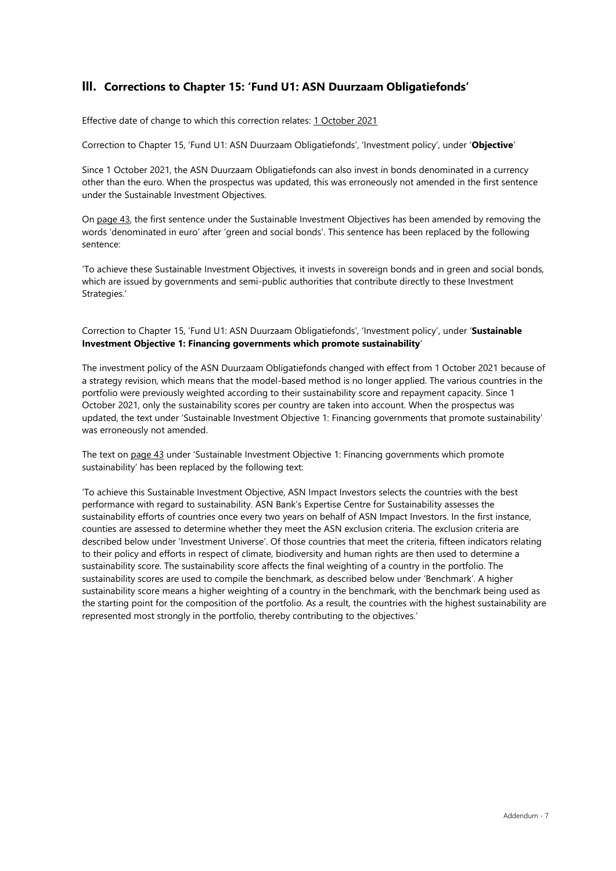## **III. Corrections to Chapter 15: 'Fund U1: ASN Duurzaam Obligatiefonds'**

Effective date of change to which this correction relates: 1 October 2021

Correction to Chapter 15, 'Fund U1: ASN Duurzaam Obligatiefonds', 'Investment policy', under '**Objective**'

Since 1 October 2021, the ASN Duurzaam Obligatiefonds can also invest in bonds denominated in a currency other than the euro. When the prospectus was updated, this was erroneously not amended in the first sentence under the Sustainable Investment Objectives.

On page 43, the first sentence under the Sustainable Investment Objectives has been amended by removing the words 'denominated in euro' after 'green and social bonds'. This sentence has been replaced by the following sentence:

'To achieve these Sustainable Investment Objectives, it invests in sovereign bonds and in green and social bonds, which are issued by governments and semi-public authorities that contribute directly to these Investment Strategies.'

## Correction to Chapter 15, 'Fund U1: ASN Duurzaam Obligatiefonds', 'Investment policy', under '**Sustainable Investment Objective 1: Financing governments which promote sustainability**'

The investment policy of the ASN Duurzaam Obligatiefonds changed with effect from 1 October 2021 because of a strategy revision, which means that the model-based method is no longer applied. The various countries in the portfolio were previously weighted according to their sustainability score and repayment capacity. Since 1 October 2021, only the sustainability scores per country are taken into account. When the prospectus was updated, the text under 'Sustainable Investment Objective 1: Financing governments that promote sustainability' was erroneously not amended.

The text on page 43 under 'Sustainable Investment Objective 1: Financing governments which promote sustainability' has been replaced by the following text:

'To achieve this Sustainable Investment Objective, ASN Impact Investors selects the countries with the best performance with regard to sustainability. ASN Bank's Expertise Centre for Sustainability assesses the sustainability efforts of countries once every two years on behalf of ASN Impact Investors. In the first instance, counties are assessed to determine whether they meet the ASN exclusion criteria. The exclusion criteria are described below under 'Investment Universe'. Of those countries that meet the criteria, fifteen indicators relating to their policy and efforts in respect of climate, biodiversity and human rights are then used to determine a sustainability score. The sustainability score affects the final weighting of a country in the portfolio. The sustainability scores are used to compile the benchmark, as described below under 'Benchmark'. A higher sustainability score means a higher weighting of a country in the benchmark, with the benchmark being used as the starting point for the composition of the portfolio. As a result, the countries with the highest sustainability are represented most strongly in the portfolio, thereby contributing to the objectives.'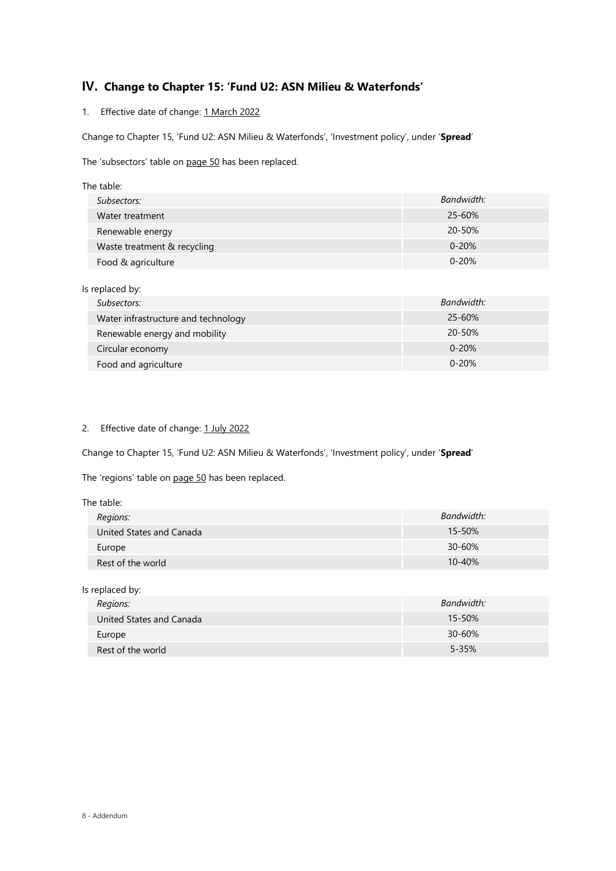# **IV. Change to Chapter 15: 'Fund U2: ASN Milieu & Waterfonds'**

1. Effective date of change: 1 March 2022

Change to Chapter 15, 'Fund U2: ASN Milieu & Waterfonds', 'Investment policy', under '**Spread**'

The 'subsectors' table on page 50 has been replaced.

| The table:                  |            |
|-----------------------------|------------|
| Subsectors:                 | Bandwidth: |
| Water treatment             | $25 - 60%$ |
| Renewable energy            | 20-50%     |
| Waste treatment & recycling | $0 - 20%$  |
| Food & agriculture          | $0 - 20%$  |

| Is replaced by:                     |            |
|-------------------------------------|------------|
| Subsectors:                         | Bandwidth: |
| Water infrastructure and technology | $25 - 60%$ |
| Renewable energy and mobility       | $20 - 50%$ |
| Circular economy                    | $0 - 20%$  |
| Food and agriculture                | $0 - 20%$  |

## 2. Effective date of change: 1 July 2022

Change to Chapter 15, 'Fund U2: ASN Milieu & Waterfonds', 'Investment policy', under '**Spread**'

The 'regions' table on page 50 has been replaced.

| The table:               |            |
|--------------------------|------------|
| Regions:                 | Bandwidth: |
| United States and Canada | 15-50%     |
| Europe                   | 30-60%     |
| Rest of the world        | $10 - 40%$ |

| Is replaced by:          |            |
|--------------------------|------------|
| Regions:                 | Bandwidth: |
| United States and Canada | 15-50%     |
| Europe                   | $30 - 60%$ |
| Rest of the world        | $5 - 35%$  |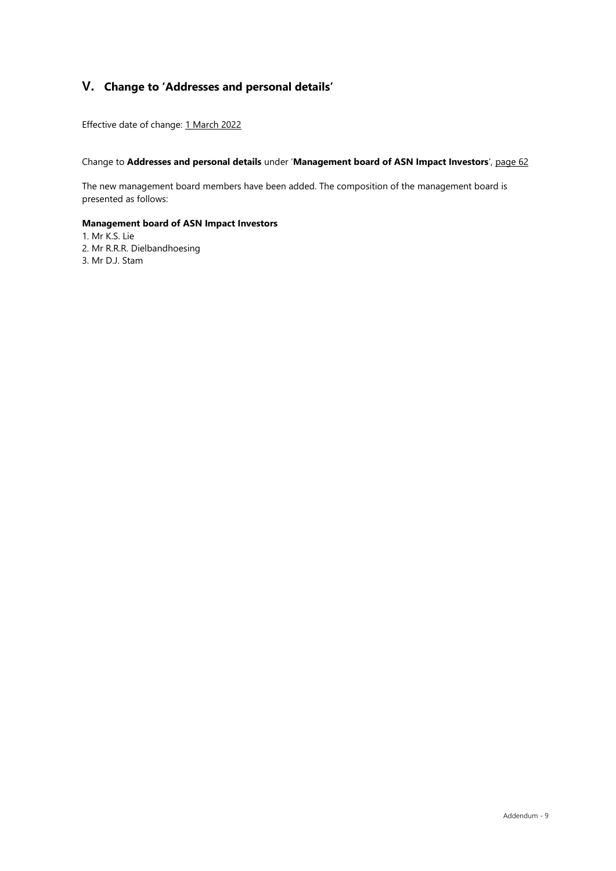# **V. Change to 'Addresses and personal details'**

Effective date of change: 1 March 2022

## Change to **Addresses and personal details** under '**Management board of ASN Impact Investors**', page 62

The new management board members have been added. The composition of the management board is presented as follows:

## **Management board of ASN Impact Investors**

- 1. Mr K.S. Lie
- 2. Mr R.R.R. Dielbandhoesing
- 3. Mr D.J. Stam